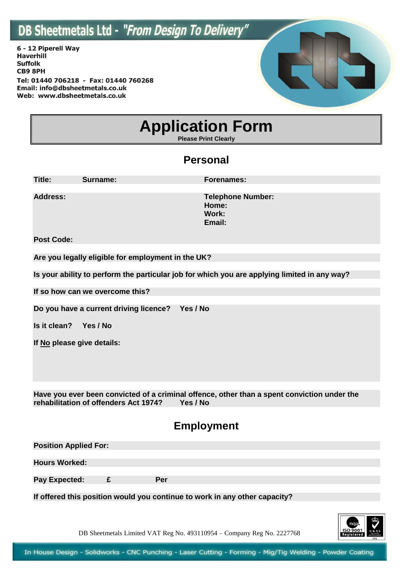6 - 12 Piperell Way **Haverhill Suffolk CB9 8PH** Tel: 01440 706218 - Fax: 01440 760268 Email: info@dbsheetmetals.co.uk Web: www.dbsheetmetals.co.uk



# **Application Form**

**Please Print Clearly**

#### **Personal**

| Title:            | Surname: | <b>Forenames:</b>                                    |
|-------------------|----------|------------------------------------------------------|
| <b>Address:</b>   |          | <b>Telephone Number:</b><br>Home:<br>Work:<br>Email: |
| <b>Post Code:</b> |          |                                                      |

**Are you legally eligible for employment in the UK?** 

**Is your ability to perform the particular job for which you are applying limited in any way?**

**If so how can we overcome this?**

**Do you have a current driving licence? Yes / No**

**Is it clean? Yes / No**

**If No please give details:**

**Have you ever been convicted of a criminal offence, other than a spent conviction under the rehabilitation of offenders Act 1974? Yes / No**

#### **Employment**

| <b>Position Applied For:</b> |     |  |
|------------------------------|-----|--|
|                              |     |  |
| <b>Hours Worked:</b>         |     |  |
|                              |     |  |
| <b>Pay Expected:</b>         | Per |  |
|                              |     |  |

**If offered this position would you continue to work in any other capacity?** 

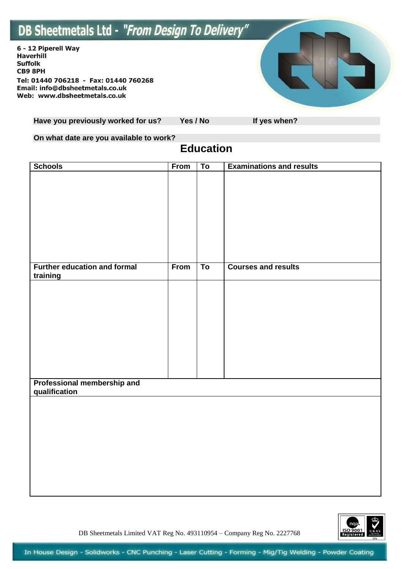6 - 12 Piperell Way Haverhill **Suffolk CB9 8PH** Tel: 01440 706218 - Fax: 01440 760268 Email: info@dbsheetmetals.co.uk Web: www.dbsheetmetals.co.uk



Have you previously worked for us? Yes / No If yes when?

**On what date are you available to work?** 

#### **Education**

| <b>Schools</b>                               | From | To | <b>Examinations and results</b> |
|----------------------------------------------|------|----|---------------------------------|
|                                              |      |    |                                 |
|                                              |      |    |                                 |
|                                              |      |    |                                 |
|                                              |      |    |                                 |
|                                              |      |    |                                 |
|                                              |      |    |                                 |
|                                              |      |    |                                 |
|                                              |      |    |                                 |
|                                              |      |    |                                 |
| <b>Further education and formal</b>          | From | To | <b>Courses and results</b>      |
| training                                     |      |    |                                 |
|                                              |      |    |                                 |
|                                              |      |    |                                 |
|                                              |      |    |                                 |
|                                              |      |    |                                 |
|                                              |      |    |                                 |
|                                              |      |    |                                 |
|                                              |      |    |                                 |
|                                              |      |    |                                 |
|                                              |      |    |                                 |
|                                              |      |    |                                 |
| Professional membership and<br>qualification |      |    |                                 |
|                                              |      |    |                                 |
|                                              |      |    |                                 |
|                                              |      |    |                                 |
|                                              |      |    |                                 |
|                                              |      |    |                                 |
|                                              |      |    |                                 |
|                                              |      |    |                                 |
|                                              |      |    |                                 |
|                                              |      |    |                                 |
|                                              |      |    |                                 |

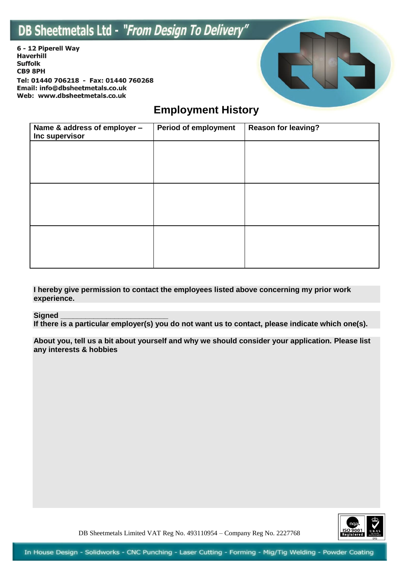6 - 12 Piperell Way Haverhill **Suffolk CB9 8PH** Tel: 01440 706218 - Fax: 01440 760268 Email: info@dbsheetmetals.co.uk Web: www.dbsheetmetals.co.uk



### **Employment History**

| Name & address of employer -<br>Inc supervisor | <b>Period of employment</b> | <b>Reason for leaving?</b> |
|------------------------------------------------|-----------------------------|----------------------------|
|                                                |                             |                            |
|                                                |                             |                            |
|                                                |                             |                            |
|                                                |                             |                            |
|                                                |                             |                            |
|                                                |                             |                            |

**I hereby give permission to contact the employees listed above concerning my prior work experience.** 

#### **Signed \_\_\_\_\_\_\_\_\_\_\_\_\_\_\_\_\_\_\_\_\_\_\_\_\_\_**

**If there is a particular employer(s) you do not want us to contact, please indicate which one(s).** 

**About you, tell us a bit about yourself and why we should consider your application. Please list any interests & hobbies**